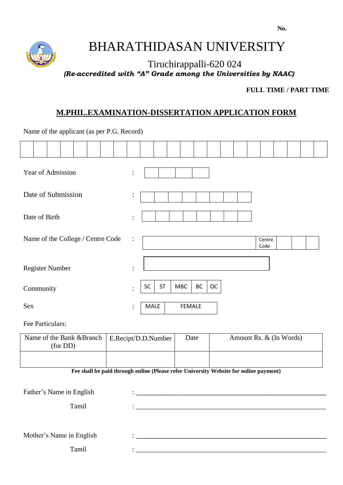

# BHARATHIDASAN UNIVERSITY

Tiruchirappalli-620 024  *(Re-accredited with "A" Grade among the Universities by NAAC)*

 **FULL TIME / PART TIME**

# **M.PHIL.EXAMINATION-DISSERTATION APPLICATION FORM**

Name of the applicant (as per P.G. Record)

| Year of Admission                                           |  |  |  |  |  |                | $\ddot{\cdot}$ |                |               |    |      |  |  |  |                |                         |  |  |
|-------------------------------------------------------------|--|--|--|--|--|----------------|----------------|----------------|---------------|----|------|--|--|--|----------------|-------------------------|--|--|
| Date of Submission                                          |  |  |  |  |  |                |                | $\vdots$       |               |    |      |  |  |  |                |                         |  |  |
| Date of Birth                                               |  |  |  |  |  |                |                | $\ddot{\cdot}$ |               |    |      |  |  |  |                |                         |  |  |
| Name of the College / Centre Code                           |  |  |  |  |  |                |                | $\ddot{\cdot}$ |               |    |      |  |  |  | Centre<br>Code |                         |  |  |
| <b>Register Number</b>                                      |  |  |  |  |  |                | $\ddot{\cdot}$ |                |               |    |      |  |  |  |                |                         |  |  |
| Community                                                   |  |  |  |  |  | $\ddot{\cdot}$ | <b>SC</b>      | <b>ST</b>      | <b>MBC</b>    | BC | OC   |  |  |  |                |                         |  |  |
| Sex                                                         |  |  |  |  |  | $\ddot{\cdot}$ | MALE           |                | <b>FEMALE</b> |    |      |  |  |  |                |                         |  |  |
| Fee Particulars:                                            |  |  |  |  |  |                |                |                |               |    |      |  |  |  |                |                         |  |  |
| Name of the Bank &Branch<br>E.Recipt/D.D.Number<br>(for DD) |  |  |  |  |  |                |                |                |               |    | Date |  |  |  |                | Amount Rs. & (In Words) |  |  |

**Fee shall be paid through online (Please refer University Website for online payment)**

| Father's Name in English | $\ddot{\cdot}$ . The contraction of the contract of the contract of the contract of the contract of the contract of the contract of the contract of the contract of the contract of the contract of the contract of the contract of |
|--------------------------|-------------------------------------------------------------------------------------------------------------------------------------------------------------------------------------------------------------------------------------|
| Tamil                    | $\bullet$                                                                                                                                                                                                                           |
|                          |                                                                                                                                                                                                                                     |
| Mother's Name in English | $\bullet$                                                                                                                                                                                                                           |
| Tamil                    |                                                                                                                                                                                                                                     |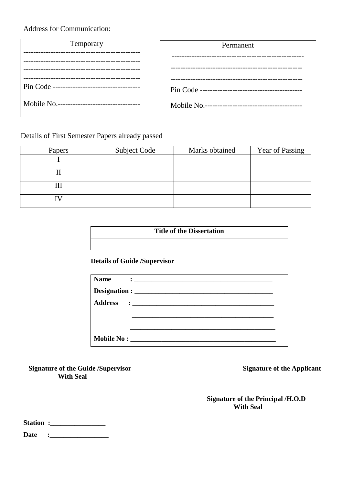Address for Communication:

| Temporary                                   | Permanent                                   |
|---------------------------------------------|---------------------------------------------|
|                                             |                                             |
|                                             |                                             |
| Pin Code ---------------------------------- |                                             |
| Mobile No.--------------------------------- | Mobile No.--------------------------------- |

Details of First Semester Papers already passed

| Papers | Subject Code | Marks obtained | Year of Passing |
|--------|--------------|----------------|-----------------|
|        |              |                |                 |
|        |              |                |                 |
| Ш      |              |                |                 |
|        |              |                |                 |

# **Title of the Dissertation**

### **Details of Guide /Supervisor**

| <b>Name</b> | $\ddot{\bullet}$ . The contract of the contract of $\ddot{\bullet}$ |
|-------------|---------------------------------------------------------------------|
|             |                                                                     |
|             |                                                                     |
|             |                                                                     |
|             |                                                                     |
|             |                                                                     |

**Signature of the Guide /Supervisor Signature of the Applicant With Seal**

 **Signature of the Principal /H.O.D With Seal**

| <b>Station:</b> |  |
|-----------------|--|
|                 |  |

**Date :\_\_\_\_\_\_\_\_\_\_\_\_\_\_\_\_\_**